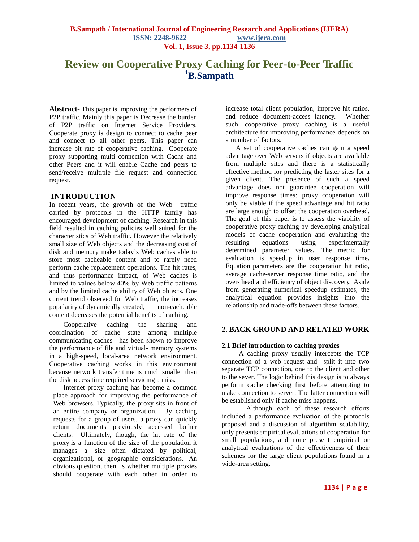# **Review on Cooperative Proxy Caching for Peer-to-Peer Traffic <sup>1</sup>B.Sampath**

**Abstract**- This paper is improving the performers of P2P traffic. Mainly this paper is Decrease the burden of P2P traffic on Internet Service Providers. Cooperate proxy is design to connect to cache peer and connect to all other peers. This paper can increase bit rate of cooperative caching. Cooperate proxy supporting multi connection with Cache and other Peers and it will enable Cache and peers to send/receive multiple file request and connection request.

## **INTRODUCTION**

In recent years, the growth of the Web traffic carried by protocols in the HTTP family has encouraged development of caching. Research in this field resulted in caching policies well suited for the characteristics of Web traffic. However the relatively small size of Web objects and the decreasing cost of disk and memory make today"s Web caches able to store most cacheable content and to rarely need perform cache replacement operations. The hit rates, and thus performance impact, of Web caches is limited to values below 40% by Web traffic patterns and by the limited cache ability of Web objects. One current trend observed for Web traffic, the increases popularity of dynamically created, non-cacheable content decreases the potential benefits of caching.

Cooperative caching the sharing and coordination of cache state among multiple communicating caches has been shown to improve the performance of file and virtual- memory systems in a high-speed, local-area network environment. Cooperative caching works in this environment because network transfer time is much smaller than the disk access time required servicing a miss.

Internet proxy caching has become a common place approach for improving the performance of Web browsers. Typically, the proxy sits in front of an entire company or organization. By caching requests for a group of users, a proxy can quickly return documents previously accessed bother clients. Ultimately, though, the hit rate of the proxy is a function of the size of the population it manages a size often dictated by political, organizational, or geographic considerations. An obvious question, then, is whether multiple proxies should cooperate with each other in order to

increase total client population, improve hit ratios, and reduce document-access latency. Whether such cooperative proxy caching is a useful architecture for improving performance depends on a number of factors.

A set of cooperative caches can gain a speed advantage over Web servers if objects are available from multiple sites and there is a statistically effective method for predicting the faster sites for a given client. The presence of such a speed advantage does not guarantee cooperation will improve response times: proxy cooperation will only be viable if the speed advantage and hit ratio are large enough to offset the cooperation overhead. The goal of this paper is to assess the viability of cooperative proxy caching by developing analytical models of cache cooperation and evaluating the resulting equations using experimentally determined parameter values. The metric for evaluation is speedup in user response time. Equation parameters are the cooperation hit ratio, average cache-server response time ratio, and the over- head and efficiency of object discovery. Aside from generating numerical speedup estimates, the analytical equation provides insights into the relationship and trade-offs between these factors.

## **2. BACK GROUND AND RELATED WORK**

#### **2.1 Brief introduction to caching proxies**

A caching proxy usually intercepts the TCP connection of a web request and split it into two separate TCP connection, one to the client and other to the sever. The logic behind this design is to always perform cache checking first before attempting to make connection to server. The latter connection will be established only if cache miss happens.

Although each of these research efforts included a performance evaluation of the protocols proposed and a discussion of algorithm scalability, only presents empirical evaluations of cooperation for small populations, and none present empirical or analytical evaluations of the effectiveness of their schemes for the large client populations found in a wide-area setting.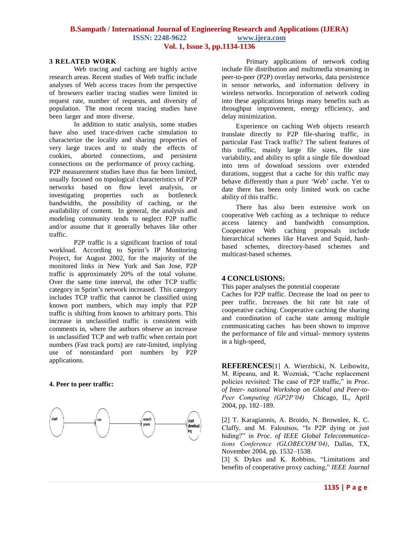## **B.Sampath / International Journal of Engineering Research and Applications (IJERA) ISSN: 2248-9622 www.ijera.com Vol. 1, Issue 3, pp.1134-1136**

#### **3 RELATED WORK**

Web tracing and caching are highly active research areas. Recent studies of Web traffic include analyses of Web access traces from the perspective of browsers earlier tracing studies were limited in request rate, number of requests, and diversity of population. The most recent tracing studies have been larger and more diverse.

In addition to static analysis, some studies have also used trace-driven cache simulation to characterize the locality and sharing properties of very large traces and to study the effects of cookies, aborted connections, and persistent connections on the performance of proxy caching. P2P measurement studies have thus far been limited, usually focused on topological characteristics of P2P networks based on flow level analysis, or investigating properties such as bottleneck bandwidths, the possibility of caching, or the availability of content. In general, the analysis and modeling community tends to neglect P2P traffic and/or assume that it generally behaves like other traffic.

P2P traffic is a significant fraction of total workload. According to Sprint's IP Monitoring Project, for August 2002, for the majority of the monitored links in New York and San Jose, P2P traffic is approximately 20% of the total volume. Over the same time interval, the other TCP traffic category in Sprint's network increased. This category includes TCP traffic that cannot be classified using known port numbers, which may imply that P2P traffic is shifting from known to arbitrary ports. This increase in unclassified traffic is consistent with comments in, where the authors observe an increase in unclassified TCP and web traffic when certain port numbers (Fast track ports) are rate-limited, implying use of nonstandard port numbers by P2P applications.

#### **4. Peer to peer traffic:**



Primary applications of network coding include file distribution and multimedia streaming in peer-to-peer (P2P) overlay networks, data persistence in sensor networks, and information delivery in wireless networks. Incorporation of network coding into these applications brings many benefits such as throughput improvement, energy efficiency, and delay minimization.

Experience on caching Web objects research translate directly to P2P file-sharing traffic, in particular Fast Track traffic? The salient features of this traffic, mainly large file sizes, file size variability, and ability to split a single file download into tens of download sessions over extended durations, suggest that a cache for this traffic may behave differently than a pure "Web" cache. Yet to date there has been only limited work on cache ability of this traffic.

There has also been extensive work on cooperative Web caching as a technique to reduce access latency and bandwidth consumption. Cooperative Web caching proposals include hierarchical schemes like Harvest and Squid, hashbased schemes, directory-based schemes and multicast-based schemes.

## **4 CONCLUSIONS:**

This paper analyses the potential cooperate

Caches for P2P traffic. Decrease the load on peer to peer traffic. Increases the bit rate bit rate of cooperative caching. Cooperative caching the sharing and coordination of cache state among multiple communicating caches has been shown to improve the performance of file and virtual- memory systems in a high-speed,

**REFERENCES**[1] A. Wierzbicki, N. Leibowitz, M. Ripeanu, and R. Wozniak, "Cache replacement policies revisited: The case of P2P traffic," in *Proc. of Inter- national Workshop on Global and Peer-to-Peer Computing (GP2P'04)* Chicago, IL, April 2004, pp. 182–189.

[2] T. Karagiannis, A. Broido, N. Brownlee, K. C. Claffy, and M. Faloutsos, "Is P2P dying or just hiding?" in *Proc. of IEEE Global Telecommunications Conference (GLOBECOM'04)*, Dallas, TX, November 2004, pp. 1532–1538.

[3] S. Dykes and K. Robbins, "Limitations and benefits of cooperative proxy caching," *IEEE Journal*